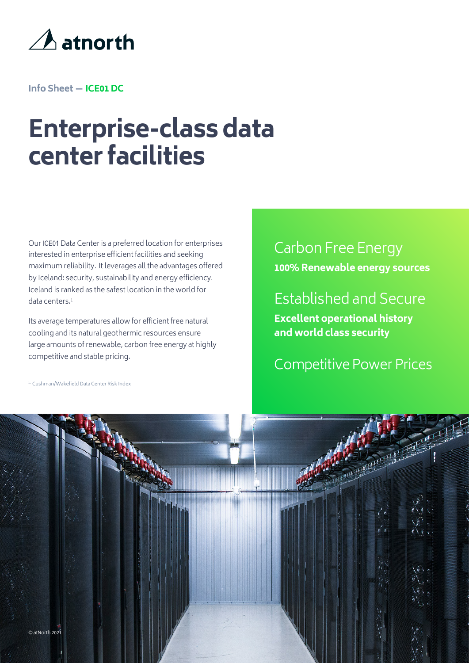

**Info Sheet — ICE01 DC**

## **Enterprise-class data center facilities**

interested in enterprise efficient facilities and seeking maximum reliability. It leverages all the advantages offered by Iceland: security, sustainability and energy efficiency. Iceland is ranked as the safest location in the world for data centers.1 Our ICE01 Data Center is a preferred location for enterprises

Its average temperatures allow for efficient free natural cooling and its natural geothermic resources ensure large amounts of renewable, carbon free energy at highly competitive and stable pricing.

Carbon Free Energy **100% Renewable energy sources**

Established and Secure

**Excellent operational history and world class security**

Competitive Power Prices

<sup>1.</sup> Cushman/Wakefield Data Center Risk Index